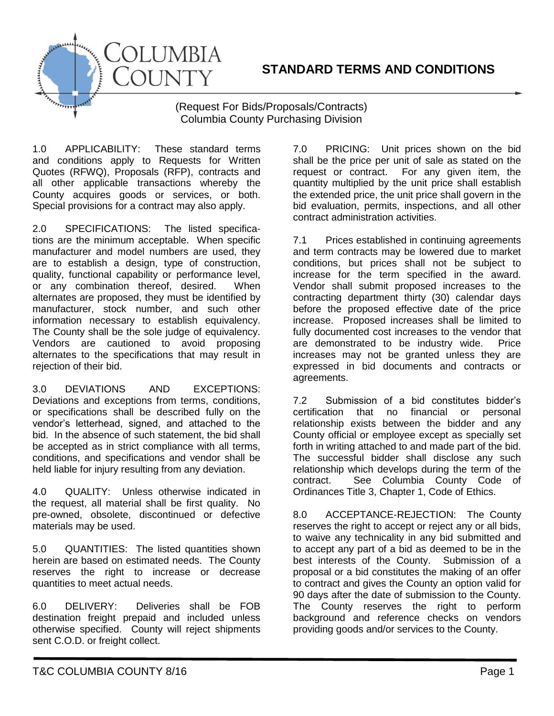

(Request For Bids/Proposals/Contracts) Columbia County Purchasing Division

1.0 APPLICABILITY: These standard terms and conditions apply to Requests for Written Quotes (RFWQ), Proposals (RFP), contracts and all other applicable transactions whereby the County acquires goods or services, or both. Special provisions for a contract may also apply.

COLUMBIA

COUNTY

2.0 SPECIFICATIONS: The listed specifications are the minimum acceptable. When specific manufacturer and model numbers are used, they are to establish a design, type of construction, quality, functional capability or performance level, or any combination thereof, desired. When alternates are proposed, they must be identified by manufacturer, stock number, and such other information necessary to establish equivalency. The County shall be the sole judge of equivalency. Vendors are cautioned to avoid proposing alternates to the specifications that may result in rejection of their bid.

3.0 DEVIATIONS AND EXCEPTIONS: Deviations and exceptions from terms, conditions, or specifications shall be described fully on the vendor's letterhead, signed, and attached to the bid. In the absence of such statement, the bid shall be accepted as in strict compliance with all terms, conditions, and specifications and vendor shall be held liable for injury resulting from any deviation.

4.0 QUALITY: Unless otherwise indicated in the request, all material shall be first quality. No pre-owned, obsolete, discontinued or defective materials may be used.

5.0 QUANTITIES: The listed quantities shown herein are based on estimated needs. The County reserves the right to increase or decrease quantities to meet actual needs.

6.0 DELIVERY: Deliveries shall be FOB destination freight prepaid and included unless otherwise specified. County will reject shipments sent C.O.D. or freight collect.

7.0 PRICING: Unit prices shown on the bid shall be the price per unit of sale as stated on the request or contract. For any given item, the quantity multiplied by the unit price shall establish the extended price, the unit price shall govern in the bid evaluation, permits, inspections, and all other contract administration activities.

7.1 Prices established in continuing agreements and term contracts may be lowered due to market conditions, but prices shall not be subject to increase for the term specified in the award. Vendor shall submit proposed increases to the contracting department thirty (30) calendar days before the proposed effective date of the price increase. Proposed increases shall be limited to fully documented cost increases to the vendor that are demonstrated to be industry wide. Price increases may not be granted unless they are expressed in bid documents and contracts or agreements.

7.2 Submission of a bid constitutes bidder's certification that no financial or personal relationship exists between the bidder and any County official or employee except as specially set forth in writing attached to and made part of the bid. The successful bidder shall disclose any such relationship which develops during the term of the contract. See Columbia County Code of Ordinances Title 3, Chapter 1, Code of Ethics.

8.0 ACCEPTANCE-REJECTION: The County reserves the right to accept or reject any or all bids, to waive any technicality in any bid submitted and to accept any part of a bid as deemed to be in the best interests of the County. Submission of a proposal or a bid constitutes the making of an offer to contract and gives the County an option valid for 90 days after the date of submission to the County. The County reserves the right to perform background and reference checks on vendors providing goods and/or services to the County.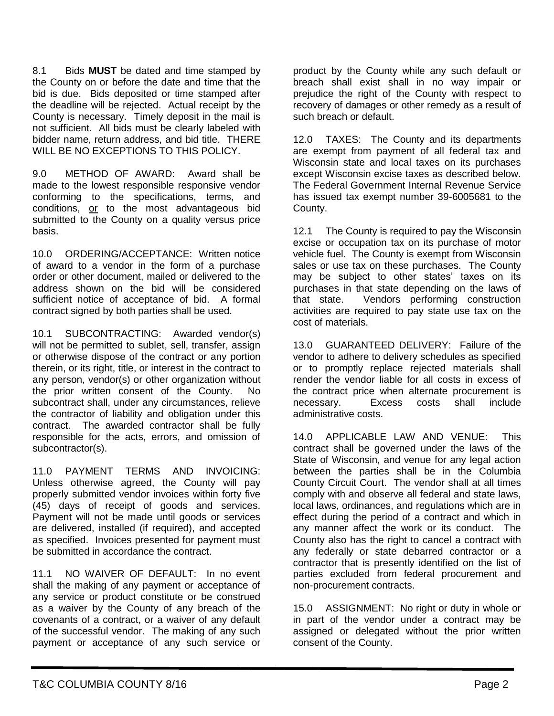8.1 Bids **MUST** be dated and time stamped by the County on or before the date and time that the bid is due. Bids deposited or time stamped after the deadline will be rejected. Actual receipt by the County is necessary. Timely deposit in the mail is not sufficient. All bids must be clearly labeled with bidder name, return address, and bid title. THERE WILL BE NO EXCEPTIONS TO THIS POLICY.

9.0 METHOD OF AWARD: Award shall be made to the lowest responsible responsive vendor conforming to the specifications, terms, and conditions, or to the most advantageous bid submitted to the County on a quality versus price basis.

10.0 ORDERING/ACCEPTANCE: Written notice of award to a vendor in the form of a purchase order or other document, mailed or delivered to the address shown on the bid will be considered sufficient notice of acceptance of bid. A formal contract signed by both parties shall be used.

10.1 SUBCONTRACTING: Awarded vendor(s) will not be permitted to sublet, sell, transfer, assign or otherwise dispose of the contract or any portion therein, or its right, title, or interest in the contract to any person, vendor(s) or other organization without the prior written consent of the County. No subcontract shall, under any circumstances, relieve the contractor of liability and obligation under this contract. The awarded contractor shall be fully responsible for the acts, errors, and omission of subcontractor(s).

11.0 PAYMENT TERMS AND INVOICING: Unless otherwise agreed, the County will pay properly submitted vendor invoices within forty five (45) days of receipt of goods and services. Payment will not be made until goods or services are delivered, installed (if required), and accepted as specified. Invoices presented for payment must be submitted in accordance the contract.

11.1 NO WAIVER OF DEFAULT: In no event shall the making of any payment or acceptance of any service or product constitute or be construed as a waiver by the County of any breach of the covenants of a contract, or a waiver of any default of the successful vendor. The making of any such payment or acceptance of any such service or

product by the County while any such default or breach shall exist shall in no way impair or prejudice the right of the County with respect to recovery of damages or other remedy as a result of such breach or default.

12.0 TAXES: The County and its departments are exempt from payment of all federal tax and Wisconsin state and local taxes on its purchases except Wisconsin excise taxes as described below. The Federal Government Internal Revenue Service has issued tax exempt number 39-6005681 to the County.

12.1 The County is required to pay the Wisconsin excise or occupation tax on its purchase of motor vehicle fuel. The County is exempt from Wisconsin sales or use tax on these purchases. The County may be subject to other states' taxes on its purchases in that state depending on the laws of that state. Vendors performing construction activities are required to pay state use tax on the cost of materials.

13.0 GUARANTEED DELIVERY: Failure of the vendor to adhere to delivery schedules as specified or to promptly replace rejected materials shall render the vendor liable for all costs in excess of the contract price when alternate procurement is necessary. Excess costs shall include administrative costs.

14.0 APPLICABLE LAW AND VENUE: This contract shall be governed under the laws of the State of Wisconsin, and venue for any legal action between the parties shall be in the Columbia County Circuit Court. The vendor shall at all times comply with and observe all federal and state laws, local laws, ordinances, and regulations which are in effect during the period of a contract and which in any manner affect the work or its conduct. The County also has the right to cancel a contract with any federally or state debarred contractor or a contractor that is presently identified on the list of parties excluded from federal procurement and non-procurement contracts.

15.0 ASSIGNMENT: No right or duty in whole or in part of the vendor under a contract may be assigned or delegated without the prior written consent of the County.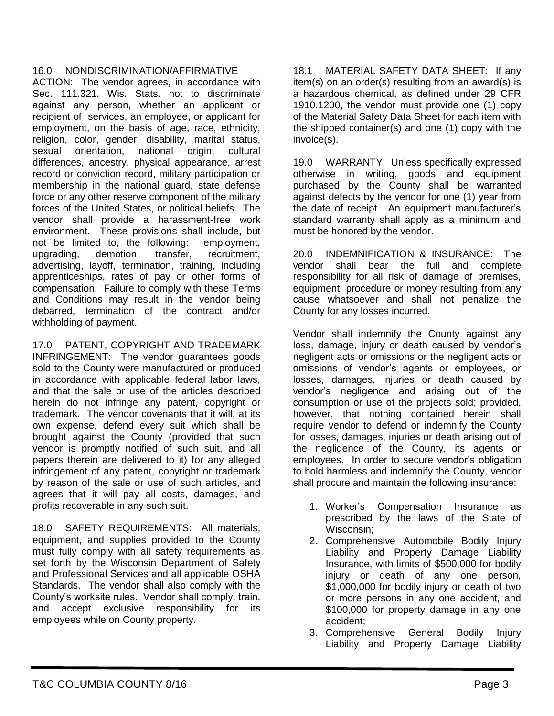## 16.0 NONDISCRIMINATION/AFFIRMATIVE

ACTION: The vendor agrees, in accordance with Sec. 111.321, Wis. Stats. not to discriminate against any person, whether an applicant or recipient of services, an employee, or applicant for employment, on the basis of age, race, ethnicity, religion, color, gender, disability, marital status, sexual orientation, national origin, cultural differences, ancestry, physical appearance, arrest record or conviction record, military participation or membership in the national guard, state defense force or any other reserve component of the military forces of the United States, or political beliefs. The vendor shall provide a harassment-free work environment. These provisions shall include, but not be limited to, the following: employment, upgrading, demotion, transfer, recruitment, advertising, layoff, termination, training, including apprenticeships, rates of pay or other forms of compensation. Failure to comply with these Terms and Conditions may result in the vendor being debarred, termination of the contract and/or withholding of payment.

17.0 PATENT, COPYRIGHT AND TRADEMARK INFRINGEMENT: The vendor guarantees goods sold to the County were manufactured or produced in accordance with applicable federal labor laws, and that the sale or use of the articles described herein do not infringe any patent, copyright or trademark. The vendor covenants that it will, at its own expense, defend every suit which shall be brought against the County (provided that such vendor is promptly notified of such suit, and all papers therein are delivered to it) for any alleged infringement of any patent, copyright or trademark by reason of the sale or use of such articles, and agrees that it will pay all costs, damages, and profits recoverable in any such suit.

18.0 SAFETY REQUIREMENTS: All materials, equipment, and supplies provided to the County must fully comply with all safety requirements as set forth by the Wisconsin Department of Safety and Professional Services and all applicable OSHA Standards. The vendor shall also comply with the County's worksite rules. Vendor shall comply, train, and accept exclusive responsibility for its employees while on County property.

18.1 MATERIAL SAFETY DATA SHEET: If any item(s) on an order(s) resulting from an award(s) is a hazardous chemical, as defined under 29 CFR 1910.1200, the vendor must provide one (1) copy of the Material Safety Data Sheet for each item with the shipped container(s) and one (1) copy with the invoice(s).

19.0 WARRANTY: Unless specifically expressed otherwise in writing, goods and equipment purchased by the County shall be warranted against defects by the vendor for one (1) year from the date of receipt. An equipment manufacturer's standard warranty shall apply as a minimum and must be honored by the vendor.

20.0 INDEMNIFICATION & INSURANCE: The vendor shall bear the full and complete responsibility for all risk of damage of premises, equipment, procedure or money resulting from any cause whatsoever and shall not penalize the County for any losses incurred.

Vendor shall indemnify the County against any loss, damage, injury or death caused by vendor's negligent acts or omissions or the negligent acts or omissions of vendor's agents or employees, or losses, damages, injuries or death caused by vendor's negligence and arising out of the consumption or use of the projects sold; provided, however, that nothing contained herein shall require vendor to defend or indemnify the County for losses, damages, injuries or death arising out of the negligence of the County, its agents or employees. In order to secure vendor's obligation to hold harmless and indemnify the County, vendor shall procure and maintain the following insurance:

- 1. Worker's Compensation Insurance as prescribed by the laws of the State of Wisconsin;
- 2. Comprehensive Automobile Bodily Injury Liability and Property Damage Liability Insurance, with limits of \$500,000 for bodily injury or death of any one person, \$1,000,000 for bodily injury or death of two or more persons in any one accident, and \$100,000 for property damage in any one accident;
- 3. Comprehensive General Bodily Injury Liability and Property Damage Liability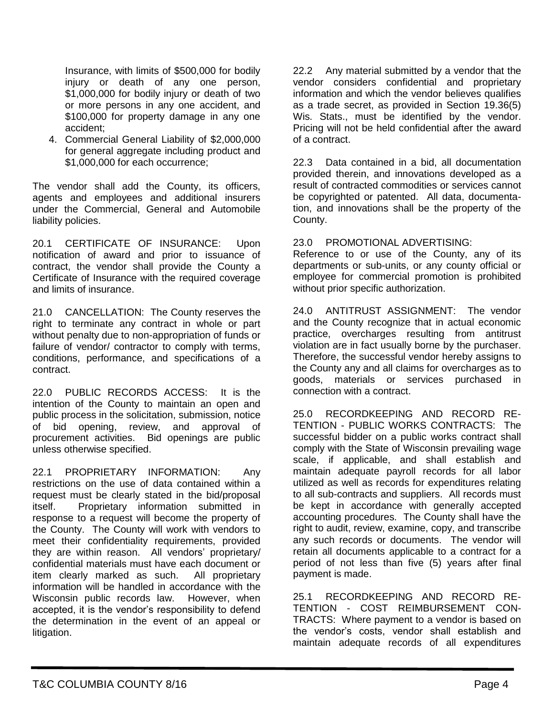Insurance, with limits of \$500,000 for bodily injury or death of any one person, \$1,000,000 for bodily injury or death of two or more persons in any one accident, and \$100,000 for property damage in any one accident;

4. Commercial General Liability of \$2,000,000 for general aggregate including product and \$1,000,000 for each occurrence;

The vendor shall add the County, its officers, agents and employees and additional insurers under the Commercial, General and Automobile liability policies.

20.1 CERTIFICATE OF INSURANCE: Upon notification of award and prior to issuance of contract, the vendor shall provide the County a Certificate of Insurance with the required coverage and limits of insurance.

21.0 CANCELLATION: The County reserves the right to terminate any contract in whole or part without penalty due to non-appropriation of funds or failure of vendor/ contractor to comply with terms, conditions, performance, and specifications of a contract.

22.0 PUBLIC RECORDS ACCESS: It is the intention of the County to maintain an open and public process in the solicitation, submission, notice of bid opening, review, and approval of procurement activities. Bid openings are public unless otherwise specified.

22.1 PROPRIETARY INFORMATION: Any restrictions on the use of data contained within a request must be clearly stated in the bid/proposal itself. Proprietary information submitted in response to a request will become the property of the County. The County will work with vendors to meet their confidentiality requirements, provided they are within reason. All vendors' proprietary/ confidential materials must have each document or item clearly marked as such. All proprietary information will be handled in accordance with the Wisconsin public records law. However, when accepted, it is the vendor's responsibility to defend the determination in the event of an appeal or litigation.

22.2 Any material submitted by a vendor that the vendor considers confidential and proprietary information and which the vendor believes qualifies as a trade secret, as provided in Section 19.36(5) Wis. Stats., must be identified by the vendor. Pricing will not be held confidential after the award of a contract.

22.3 Data contained in a bid, all documentation provided therein, and innovations developed as a result of contracted commodities or services cannot be copyrighted or patented. All data, documentation, and innovations shall be the property of the County.

23.0 PROMOTIONAL ADVERTISING:

Reference to or use of the County, any of its departments or sub-units, or any county official or employee for commercial promotion is prohibited without prior specific authorization.

24.0 ANTITRUST ASSIGNMENT: The vendor and the County recognize that in actual economic practice, overcharges resulting from antitrust violation are in fact usually borne by the purchaser. Therefore, the successful vendor hereby assigns to the County any and all claims for overcharges as to goods, materials or services purchased in connection with a contract.

25.0 RECORDKEEPING AND RECORD RE-TENTION - PUBLIC WORKS CONTRACTS: The successful bidder on a public works contract shall comply with the State of Wisconsin prevailing wage scale, if applicable, and shall establish and maintain adequate payroll records for all labor utilized as well as records for expenditures relating to all sub-contracts and suppliers. All records must be kept in accordance with generally accepted accounting procedures. The County shall have the right to audit, review, examine, copy, and transcribe any such records or documents. The vendor will retain all documents applicable to a contract for a period of not less than five (5) years after final payment is made.

25.1 RECORDKEEPING AND RECORD RE-TENTION - COST REIMBURSEMENT CON-TRACTS: Where payment to a vendor is based on the vendor's costs, vendor shall establish and maintain adequate records of all expenditures